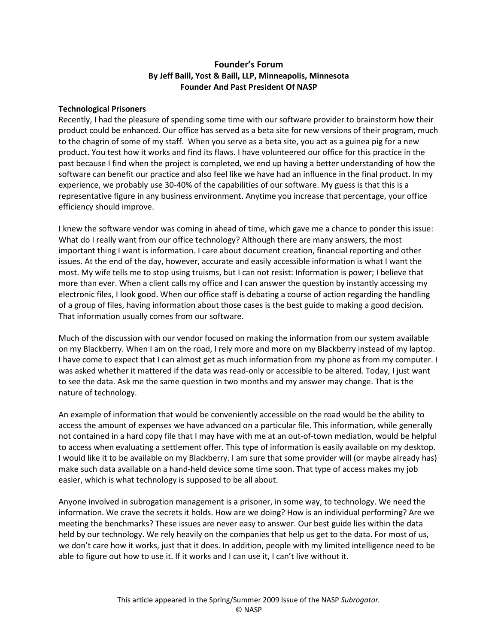## Founder's Forum By Jeff Baill, Yost & Baill, LLP, Minneapolis, Minnesota Founder And Past President Of NASP

## Technological Prisoners

Recently, I had the pleasure of spending some time with our software provider to brainstorm how their product could be enhanced. Our office has served as a beta site for new versions of their program, much to the chagrin of some of my staff. When you serve as a beta site, you act as a guinea pig for a new product. You test how it works and find its flaws. I have volunteered our office for this practice in the past because I find when the project is completed, we end up having a better understanding of how the software can benefit our practice and also feel like we have had an influence in the final product. In my experience, we probably use 30-40% of the capabilities of our software. My guess is that this is a representative figure in any business environment. Anytime you increase that percentage, your office efficiency should improve.

I knew the software vendor was coming in ahead of time, which gave me a chance to ponder this issue: What do I really want from our office technology? Although there are many answers, the most important thing I want is information. I care about document creation, financial reporting and other issues. At the end of the day, however, accurate and easily accessible information is what I want the most. My wife tells me to stop using truisms, but I can not resist: Information is power; I believe that more than ever. When a client calls my office and I can answer the question by instantly accessing my electronic files, I look good. When our office staff is debating a course of action regarding the handling of a group of files, having information about those cases is the best guide to making a good decision. That information usually comes from our software.

Much of the discussion with our vendor focused on making the information from our system available on my Blackberry. When I am on the road, I rely more and more on my Blackberry instead of my laptop. I have come to expect that I can almost get as much information from my phone as from my computer. I was asked whether it mattered if the data was read-only or accessible to be altered. Today, I just want to see the data. Ask me the same question in two months and my answer may change. That is the nature of technology.

An example of information that would be conveniently accessible on the road would be the ability to access the amount of expenses we have advanced on a particular file. This information, while generally not contained in a hard copy file that I may have with me at an out-of-town mediation, would be helpful to access when evaluating a settlement offer. This type of information is easily available on my desktop. I would like it to be available on my Blackberry. I am sure that some provider will (or maybe already has) make such data available on a hand-held device some time soon. That type of access makes my job easier, which is what technology is supposed to be all about.

Anyone involved in subrogation management is a prisoner, in some way, to technology. We need the information. We crave the secrets it holds. How are we doing? How is an individual performing? Are we meeting the benchmarks? These issues are never easy to answer. Our best guide lies within the data held by our technology. We rely heavily on the companies that help us get to the data. For most of us, we don't care how it works, just that it does. In addition, people with my limited intelligence need to be able to figure out how to use it. If it works and I can use it, I can't live without it.